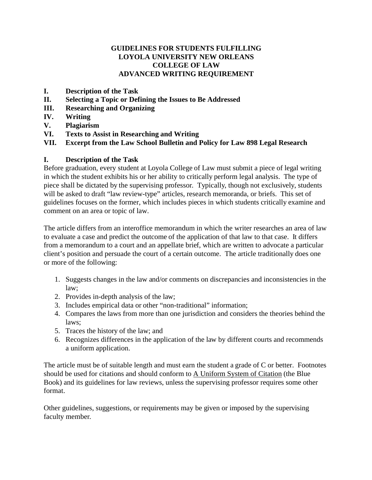#### **GUIDELINES FOR STUDENTS FULFILLING LOYOLA UNIVERSITY NEW ORLEANS COLLEGE OF LAW ADVANCED WRITING REQUIREMENT**

- **I. Description of the Task**
- **II. Selecting a Topic or Defining the Issues to Be Addressed**
- **III. Researching and Organizing**
- **IV. Writing**
- **V. Plagiarism**
- **VI. Texts to Assist in Researching and Writing**

**VII. Excerpt from the Law School Bulletin and Policy for Law 898 Legal Research**

#### **I. Description of the Task**

Before graduation, every student at Loyola College of Law must submit a piece of legal writing in which the student exhibits his or her ability to critically perform legal analysis. The type of piece shall be dictated by the supervising professor. Typically, though not exclusively, students will be asked to draft "law review-type" articles, research memoranda, or briefs. This set of guidelines focuses on the former, which includes pieces in which students critically examine and comment on an area or topic of law.

The article differs from an interoffice memorandum in which the writer researches an area of law to evaluate a case and predict the outcome of the application of that law to that case. It differs from a memorandum to a court and an appellate brief, which are written to advocate a particular client's position and persuade the court of a certain outcome. The article traditionally does one or more of the following:

- 1. Suggests changes in the law and/or comments on discrepancies and inconsistencies in the law;
- 2. Provides in-depth analysis of the law;
- 3. Includes empirical data or other "non-traditional" information;
- 4. Compares the laws from more than one jurisdiction and considers the theories behind the laws;
- 5. Traces the history of the law; and
- 6. Recognizes differences in the application of the law by different courts and recommends a uniform application.

The article must be of suitable length and must earn the student a grade of C or better. Footnotes should be used for citations and should conform to A Uniform System of Citation (the Blue Book) and its guidelines for law reviews, unless the supervising professor requires some other format.

Other guidelines, suggestions, or requirements may be given or imposed by the supervising faculty member.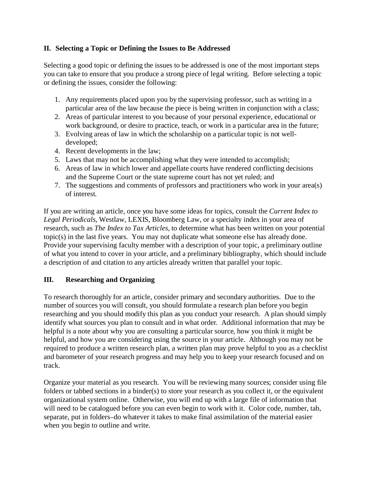### **II. Selecting a Topic or Defining the Issues to Be Addressed**

Selecting a good topic or defining the issues to be addressed is one of the most important steps you can take to ensure that you produce a strong piece of legal writing. Before selecting a topic or defining the issues, consider the following:

- 1. Any requirements placed upon you by the supervising professor, such as writing in a particular area of the law because the piece is being written in conjunction with a class;
- 2. Areas of particular interest to you because of your personal experience, educational or work background, or desire to practice, teach, or work in a particular area in the future;
- 3. Evolving areas of law in which the scholarship on a particular topic is not welldeveloped;
- 4. Recent developments in the law;
- 5. Laws that may not be accomplishing what they were intended to accomplish;
- 6. Areas of law in which lower and appellate courts have rendered conflicting decisions and the Supreme Court or the state supreme court has not yet ruled; and
- 7. The suggestions and comments of professors and practitioners who work in your area(s) of interest.

If you are writing an article, once you have some ideas for topics, consult the *Current Index to Legal Periodicals*, Westlaw, LEXIS, Bloomberg Law, or a specialty index in your area of research, such as *The Index to Tax Articles*, to determine what has been written on your potential topic(s) in the last five years. You may not duplicate what someone else has already done. Provide your supervising faculty member with a description of your topic, a preliminary outline of what you intend to cover in your article, and a preliminary bibliography, which should include a description of and citation to any articles already written that parallel your topic.

# **III. Researching and Organizing**

To research thoroughly for an article, consider primary and secondary authorities. Due to the number of sources you will consult, you should formulate a research plan before you begin researching and you should modify this plan as you conduct your research. A plan should simply identify what sources you plan to consult and in what order. Additional information that may be helpful is a note about why you are consulting a particular source, how you think it might be helpful, and how you are considering using the source in your article. Although you may not be required to produce a written research plan, a written plan may prove helpful to you as a checklist and barometer of your research progress and may help you to keep your research focused and on track.

Organize your material as you research. You will be reviewing many sources; consider using file folders or tabbed sections in a binder(s) to store your research as you collect it, or the equivalent organizational system online. Otherwise, you will end up with a large file of information that will need to be catalogued before you can even begin to work with it. Color code, number, tab, separate, put in folders–do whatever it takes to make final assimilation of the material easier when you begin to outline and write.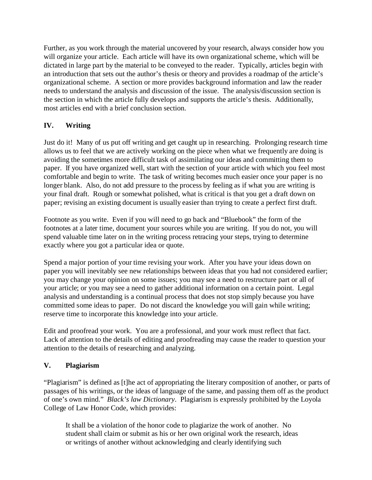Further, as you work through the material uncovered by your research, always consider how you will organize your article. Each article will have its own organizational scheme, which will be dictated in large part by the material to be conveyed to the reader. Typically, articles begin with an introduction that sets out the author's thesis or theory and provides a roadmap of the article's organizational scheme. A section or more provides background information and law the reader needs to understand the analysis and discussion of the issue. The analysis/discussion section is the section in which the article fully develops and supports the article's thesis. Additionally, most articles end with a brief conclusion section.

# **IV. Writing**

Just do it! Many of us put off writing and get caught up in researching. Prolonging research time allows us to feel that we are actively working on the piece when what we frequently are doing is avoiding the sometimes more difficult task of assimilating our ideas and committing them to paper. If you have organized well, start with the section of your article with which you feel most comfortable and begin to write. The task of writing becomes much easier once your paper is no longer blank. Also, do not add pressure to the process by feeling as if what you are writing is your final draft. Rough or somewhat polished, what is critical is that you get a draft down on paper; revising an existing document is usually easier than trying to create a perfect first draft.

Footnote as you write. Even if you will need to go back and "Bluebook" the form of the footnotes at a later time, document your sources while you are writing. If you do not, you will spend valuable time later on in the writing process retracing your steps, trying to determine exactly where you got a particular idea or quote.

Spend a major portion of your time revising your work. After you have your ideas down on paper you will inevitably see new relationships between ideas that you had not considered earlier; you may change your opinion on some issues; you may see a need to restructure part or all of your article; or you may see a need to gather additional information on a certain point. Legal analysis and understanding is a continual process that does not stop simply because you have committed some ideas to paper. Do not discard the knowledge you will gain while writing; reserve time to incorporate this knowledge into your article.

Edit and proofread your work. You are a professional, and your work must reflect that fact. Lack of attention to the details of editing and proofreading may cause the reader to question your attention to the details of researching and analyzing.

# **V. Plagiarism**

"Plagiarism" is defined as [t]he act of appropriating the literary composition of another, or parts of passages of his writings, or the ideas of language of the same, and passing them off as the product of one's own mind." *Black's law Dictionary*. Plagiarism is expressly prohibited by the Loyola College of Law Honor Code, which provides:

It shall be a violation of the honor code to plagiarize the work of another. No student shall claim or submit as his or her own original work the research, ideas or writings of another without acknowledging and clearly identifying such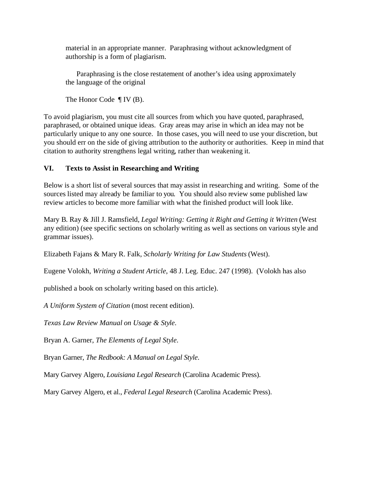material in an appropriate manner. Paraphrasing without acknowledgment of authorship is a form of plagiarism.

Paraphrasing is the close restatement of another's idea using approximately the language of the original

The Honor Code ¶ IV (B).

To avoid plagiarism, you must cite all sources from which you have quoted, paraphrased, paraphrased, or obtained unique ideas. Gray areas may arise in which an idea may not be particularly unique to any one source. In those cases, you will need to use your discretion, but you should err on the side of giving attribution to the authority or authorities. Keep in mind that citation to authority strengthens legal writing, rather than weakening it.

# **VI. Texts to Assist in Researching and Writing**

Below is a short list of several sources that may assist in researching and writing. Some of the sources listed may already be familiar to you. You should also review some published law review articles to become more familiar with what the finished product will look like.

Mary B. Ray & Jill J. Ramsfield, *Legal Writing: Getting it Right and Getting it Written* (West any edition) (see specific sections on scholarly writing as well as sections on various style and grammar issues).

Elizabeth Fajans & Mary R. Falk, *Scholarly Writing for Law Students* (West).

Eugene Volokh, *Writing a Student Article*, 48 J. Leg. Educ. 247 (1998). (Volokh has also

published a book on scholarly writing based on this article).

*A Uniform System of Citation* (most recent edition).

*Texas Law Review Manual on Usage & Style*.

Bryan A. Garner, *The Elements of Legal Style*.

Bryan Garner, *The Redbook: A Manual on Legal Style*.

Mary Garvey Algero, *Louisiana Legal Research* (Carolina Academic Press).

Mary Garvey Algero, et al., *Federal Legal Research* (Carolina Academic Press).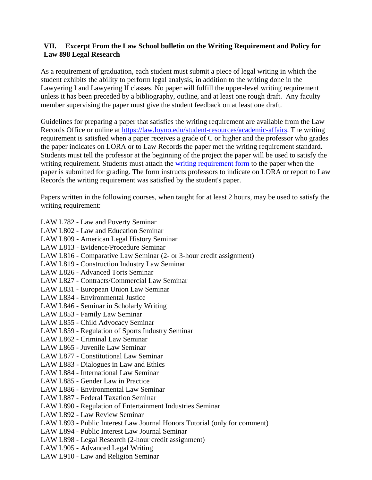#### **VII. Excerpt From the Law School bulletin on the Writing Requirement and Policy for Law 898 Legal Research**

As a requirement of graduation, each student must submit a piece of legal writing in which the student exhibits the ability to perform legal analysis, in addition to the writing done in the Lawyering I and Lawyering II classes. No paper will fulfill the upper-level writing requirement unless it has been preceded by a bibliography, outline, and at least one rough draft. Any faculty member supervising the paper must give the student feedback on at least one draft.

Guidelines for preparing a paper that satisfies the writing requirement are available from the Law Records Office or online at https://law.loyno.edu/student-resources/academic-affairs. The writing requirement is satisfied when a paper receives a grade of C or higher and the professor who grades the paper indicates on LORA or to Law Records the paper met the writing requirement standard. Students must tell the professor at the beginning of the project the paper will be used to satisfy the writing requirement. Students must attach the writing requirement form to the paper when the paper is submitted for grading. The form instructs professors to indicate on LORA or report to Law Records the writing requirement was satisfied by the student's paper.

Papers written in the following courses, when taught for at least 2 hours, may be used to satisfy the writing requirement:

- LAW L782 Law and Poverty Seminar
- LAW L802 Law and Education Seminar
- LAW L809 American Legal History Seminar
- LAW L813 Evidence/Procedure Seminar
- LAW L816 Comparative Law Seminar (2- or 3-hour credit assignment)
- LAW L819 Construction Industry Law Seminar
- LAW L826 Advanced Torts Seminar
- LAW L827 Contracts/Commercial Law Seminar
- LAW L831 European Union Law Seminar
- LAW L834 Environmental Justice
- LAW L846 Seminar in Scholarly Writing
- LAW L853 Family Law Seminar
- LAW L855 Child Advocacy Seminar
- LAW L859 Regulation of Sports Industry Seminar
- LAW L862 Criminal Law Seminar
- LAW L865 Juvenile Law Seminar
- LAW L877 Constitutional Law Seminar
- LAW L883 Dialogues in Law and Ethics
- LAW L884 International Law Seminar
- LAW L885 Gender Law in Practice
- LAW L886 Environmental Law Seminar
- LAW L887 Federal Taxation Seminar
- LAW L890 Regulation of Entertainment Industries Seminar
- LAW L892 Law Review Seminar
- LAW L893 Public Interest Law Journal Honors Tutorial (only for comment)
- LAW L894 Public Interest Law Journal Seminar
- LAW L898 Legal Research (2-hour credit assignment)
- LAW L905 Advanced Legal Writing
- LAW L910 Law and Religion Seminar